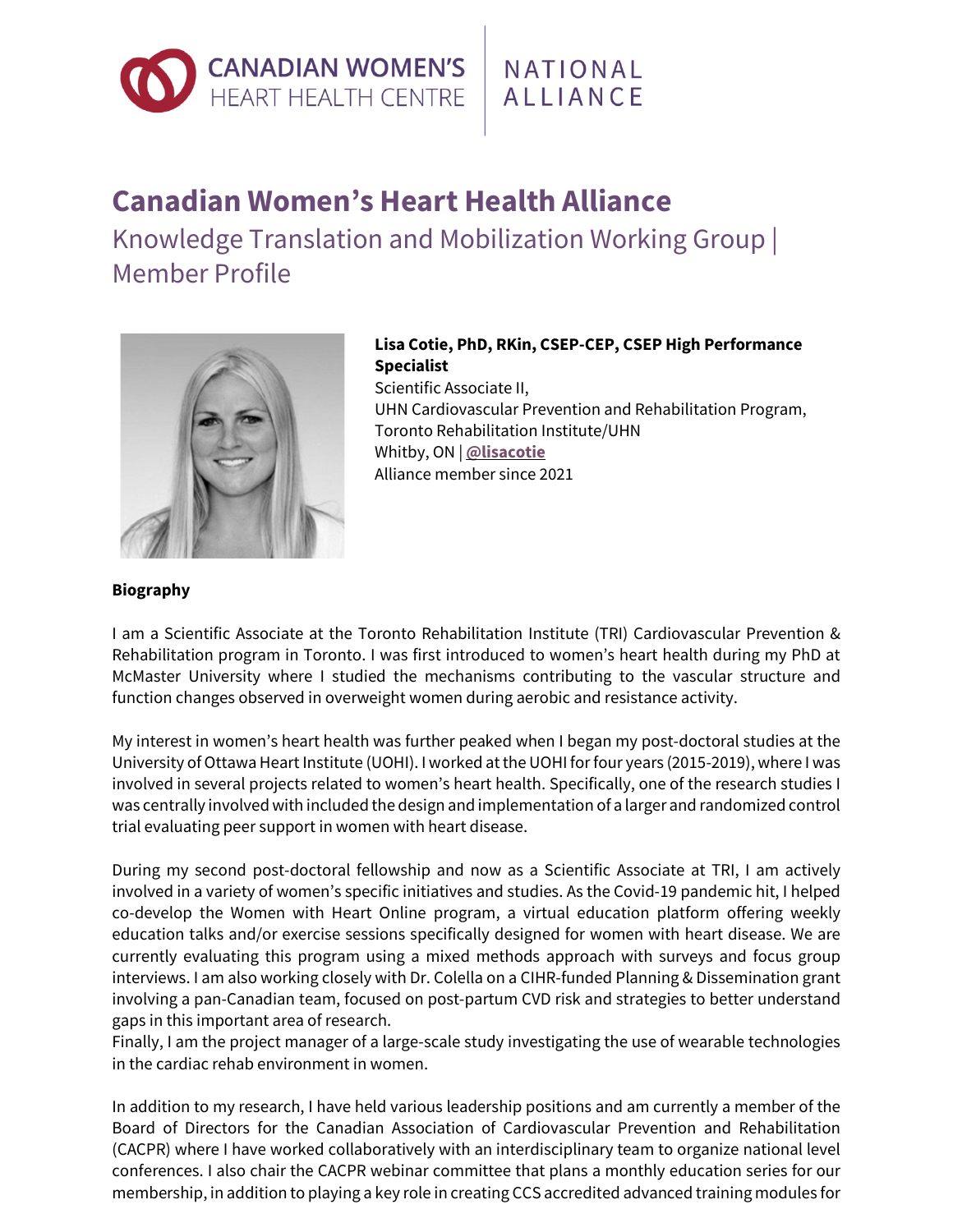

NATIONAL **AIIIANCE** 

## **Canadian Women's Heart Health Alliance**

Knowledge Translation and Mobilization Working Group | Member Profile



## **Lisa Cotie, PhD, RKin, CSEP-CEP, CSEP High Performance Specialist**

Scientific Associate II, UHN Cardiovascular Prevention and Rehabilitation Program, Toronto Rehabilitation Institute/UHN Whitby, ON | **[@lisacotie](https://twitter.com/lisacotie)** Alliance member since 2021

## **Biography**

I am a Scientific Associate at the Toronto Rehabilitation Institute (TRI) Cardiovascular Prevention & Rehabilitation program in Toronto. I was first introduced to women's heart health during my PhD at McMaster University where I studied the mechanisms contributing to the vascular structure and function changes observed in overweight women during aerobic and resistance activity.

My interest in women's heart health was further peaked when I began my post-doctoral studies at the University of Ottawa Heart Institute (UOHI). I worked at the UOHI for four years (2015-2019), where I was involved in several projects related to women's heart health. Specifically, one of the research studies I was centrally involved with included the design and implementation of a larger and randomized control trial evaluating peer support in women with heart disease.

During my second post-doctoral fellowship and now as a Scientific Associate at TRI, I am actively involved in a variety of women's specific initiatives and studies. As the Covid-19 pandemic hit, I helped co-develop the Women with Heart Online program, a virtual education platform offering weekly education talks and/or exercise sessions specifically designed for women with heart disease. We are currently evaluating this program using a mixed methods approach with surveys and focus group interviews. I am also working closely with Dr. Colella on a CIHR-funded Planning & Dissemination grant involving a pan-Canadian team, focused on post-partum CVD risk and strategies to better understand gaps in this important area of research.

Finally, I am the project manager of a large-scale study investigating the use of wearable technologies in the cardiac rehab environment in women.

In addition to my research, I have held various leadership positions and am currently a member of the Board of Directors for the Canadian Association of Cardiovascular Prevention and Rehabilitation (CACPR) where I have worked collaboratively with an interdisciplinary team to organize national level conferences. I also chair the CACPR webinar committee that plans a monthly education series for our membership, in addition to playing a key role in creating CCS accredited advanced training modules for